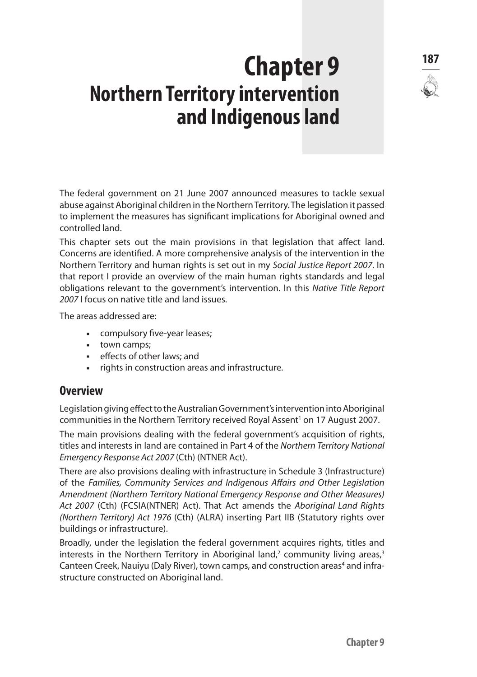# **<sup>187</sup> Chapter 9 Northern Territory intervention and Indigenous land**

The federal government on 21 June 2007 announced measures to tackle sexual abuse against Aboriginal children in the Northern Territory. The legislation it passed to implement the measures has significant implications for Aboriginal owned and controlled land.

This chapter sets out the main provisions in that legislation that affect land. Concerns are identified. A more comprehensive analysis of the intervention in the Northern Territory and human rights is set out in my *Social Justice Report 2007*. In that report I provide an overview of the main human rights standards and legal obligations relevant to the government's intervention. In this *Native Title Report 2007* I focus on native title and land issues.

The areas addressed are:

- **Example 1** compulsory five-year leases;
- **town camps;**
- **EXECT** effects of other laws; and
- rights in construction areas and infrastructure.

# **Overview**

Legislation giving effect to the Australian Government's intervention into Aboriginal communities in the Northern Territory received Royal Assent<sup>1</sup> on 17 August 2007.

The main provisions dealing with the federal government's acquisition of rights, titles and interests in land are contained in Part 4 of the *Northern Territory National Emergency Response Act 2007* (Cth) (NTNER Act).

There are also provisions dealing with infrastructure in Schedule 3 (Infrastructure) of the *Families, Community Services and Indigenous Affairs and Other Legislation Amendment (Northern Territory National Emergency Response and Other Measures) Act 2007* (Cth) (FCSIA(NTNER) Act). That Act amends the *Aboriginal Land Rights (Northern Territory) Act 1976* (Cth) (ALRA) inserting Part IIB (Statutory rights over buildings or infrastructure).

Broadly, under the legislation the federal government acquires rights, titles and interests in the Northern Territory in Aboriginal land,<sup>2</sup> community living areas,<sup>3</sup> Canteen Creek, Nauiyu (Daly River), town camps, and construction areas<sup>4</sup> and infrastructure constructed on Aboriginal land. 5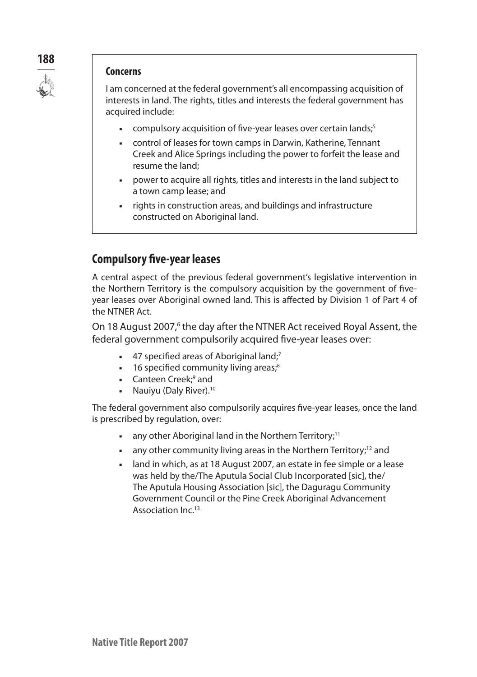

#### **Concerns**

I am concerned at the federal government's all encompassing acquisition of interests in land. The rights, titles and interests the federal government has acquired include:

- **EXECT** compulsory acquisition of five-year leases over certain lands;<sup>5</sup>
- **EXECT** control of leases for town camps in Darwin, Katherine, Tennant Creek and Alice Springs including the power to forfeit the lease and resume the land;
- n power to acquire all rights, titles and interests in the land subject to a town camp lease; and
- n rights in construction areas, and buildings and infrastructure constructed on Aboriginal land.

# **Compulsory five-year leases**

A central aspect of the previous federal government's legislative intervention in the Northern Territory is the compulsory acquisition by the government of fiveyear leases over Aboriginal owned land. This is affected by Division 1 of Part 4 of the NTNER Act.

On 18 August 2007,<sup>6</sup> the day after the NTNER Act received Royal Assent, the federal government compulsorily acquired five-year leases over:

- 47 specified areas of Aboriginal land;<sup>7</sup>
- $\blacksquare$  16 specified community living areas;<sup>8</sup>
- Canteen Creek;<sup>9</sup> and
- Nauiyu (Daly River).<sup>10</sup>

The federal government also compulsorily acquires five-year leases, once the land is prescribed by regulation, over:

- any other Aboriginal land in the Northern Territory;<sup>11</sup>
- any other community living areas in the Northern Territory;<sup>12</sup> and
- n land in which, as at 18 August 2007, an estate in fee simple or a lease was held by the/The Aputula Social Club Incorporated [sic], the/ The Aputula Housing Association [sic], the Daguragu Community Government Council or the Pine Creek Aboriginal Advancement Association Inc.<sup>13</sup>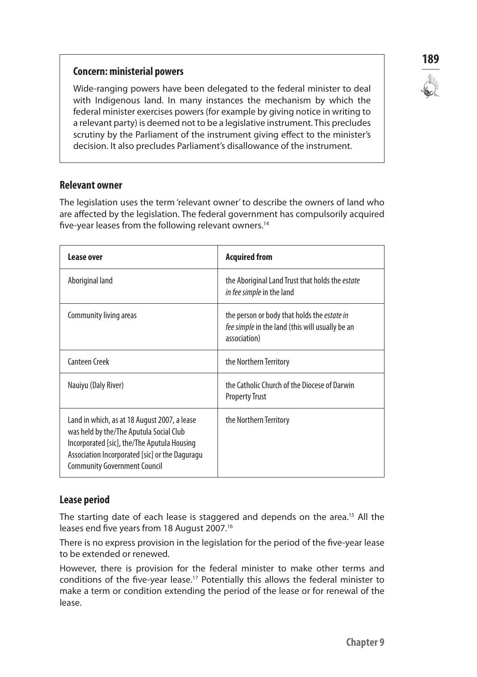## **Concern: ministerial powers**

Wide-ranging powers have been delegated to the federal minister to deal with Indigenous land. In many instances the mechanism by which the federal minister exercises powers (for example by giving notice in writing to a relevant party) is deemed not to be a legislative instrument. This precludes scrutiny by the Parliament of the instrument giving effect to the minister's decision. It also precludes Parliament's disallowance of the instrument.

## **Relevant owner**

The legislation uses the term 'relevant owner' to describe the owners of land who are affected by the legislation. The federal government has compulsorily acquired five-year leases from the following relevant owners.14

| Lease over                                                                                                                                                                                                                      | <b>Acquired from</b>                                                                                                  |
|---------------------------------------------------------------------------------------------------------------------------------------------------------------------------------------------------------------------------------|-----------------------------------------------------------------------------------------------------------------------|
| Aboriginal land                                                                                                                                                                                                                 | the Aboriginal Land Trust that holds the <i>estate</i><br>in fee simple in the land                                   |
| Community living areas                                                                                                                                                                                                          | the person or body that holds the <i>estate in</i><br>fee simple in the land (this will usually be an<br>association) |
| Canteen Creek                                                                                                                                                                                                                   | the Northern Territory                                                                                                |
| Nauiyu (Daly River)                                                                                                                                                                                                             | the Catholic Church of the Diocese of Darwin<br><b>Property Trust</b>                                                 |
| Land in which, as at 18 August 2007, a lease<br>was held by the/The Aputula Social Club<br>Incorporated [sic], the/The Aputula Housing<br>Association Incorporated [sic] or the Daguragu<br><b>Community Government Council</b> | the Northern Territory                                                                                                |

# **Lease period**

The starting date of each lease is staggered and depends on the area.<sup>15</sup> All the leases end five years from 18 August 2007.<sup>16</sup>

There is no express provision in the legislation for the period of the five-year lease to be extended or renewed.

However, there is provision for the federal minister to make other terms and conditions of the five-year lease.17 Potentially this allows the federal minister to make a term or condition extending the period of the lease or for renewal of the lease.

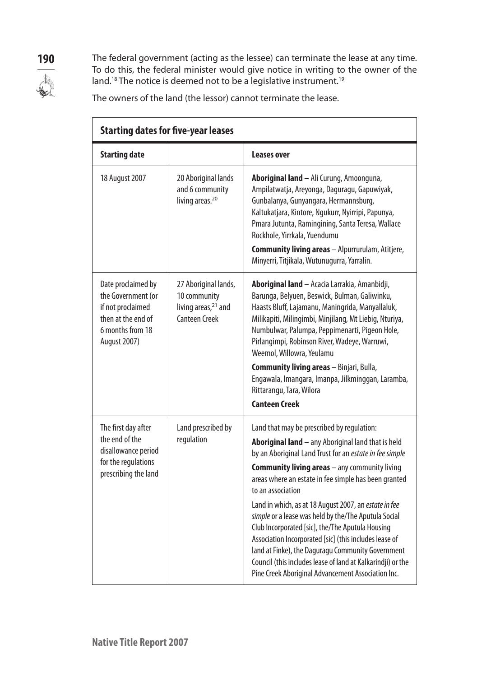**190** The federal government (acting as the lessee) can terminate the lease at any time. To do this, the federal minister would give notice in writing to the owner of the land.<sup>18</sup> The notice is deemed not to be a legislative instrument.<sup>19</sup>

The owners of the land (the lessor) cannot terminate the lease.

| <b>Starting dates for five-year leases</b>                                                                                     |                                                                                                 |                                                                                                                                                                                                                                                                                                                                                                                                                                                                                                                                                                                                                                                                                                             |
|--------------------------------------------------------------------------------------------------------------------------------|-------------------------------------------------------------------------------------------------|-------------------------------------------------------------------------------------------------------------------------------------------------------------------------------------------------------------------------------------------------------------------------------------------------------------------------------------------------------------------------------------------------------------------------------------------------------------------------------------------------------------------------------------------------------------------------------------------------------------------------------------------------------------------------------------------------------------|
| <b>Starting date</b>                                                                                                           |                                                                                                 | Leases over                                                                                                                                                                                                                                                                                                                                                                                                                                                                                                                                                                                                                                                                                                 |
| 18 August 2007                                                                                                                 | 20 Aboriginal lands<br>and 6 community<br>living areas. <sup>20</sup>                           | Aboriginal land - Ali Curung, Amoonguna,<br>Ampilatwatja, Areyonga, Daguragu, Gapuwiyak,<br>Gunbalanya, Gunyangara, Hermannsburg,<br>Kaltukatjara, Kintore, Ngukurr, Nyirripi, Papunya,<br>Pmara Jutunta, Ramingining, Santa Teresa, Wallace<br>Rockhole, Yirrkala, Yuendumu<br><b>Community living areas</b> - Alpurrurulam, Atitjere,<br>Minyerri, Titjikala, Wutunugurra, Yarralin.                                                                                                                                                                                                                                                                                                                      |
| Date proclaimed by<br>the Government (or<br>if not proclaimed<br>then at the end of<br>6 months from 18<br><b>August 2007)</b> | 27 Aboriginal lands,<br>10 community<br>living areas, <sup>21</sup> and<br><b>Canteen Creek</b> | Aboriginal land - Acacia Larrakia, Amanbidji,<br>Barunga, Belyuen, Beswick, Bulman, Galiwinku,<br>Haasts Bluff, Lajamanu, Maningrida, Manyallaluk,<br>Milikapiti, Milingimbi, Minjilang, Mt Liebig, Nturiya,<br>Numbulwar, Palumpa, Peppimenarti, Pigeon Hole,<br>Pirlangimpi, Robinson River, Wadeye, Warruwi,<br>Weemol, Willowra, Yeulamu<br><b>Community living areas</b> - Binjari, Bulla,<br>Engawala, Imangara, Imanpa, Jilkminggan, Laramba,<br>Rittarangu, Tara, Wilora<br><b>Canteen Creek</b>                                                                                                                                                                                                    |
| The first day after<br>the end of the<br>disallowance period<br>for the regulations<br>prescribing the land                    | Land prescribed by<br>regulation                                                                | Land that may be prescribed by regulation:<br>Aboriginal land - any Aboriginal land that is held<br>by an Aboriginal Land Trust for an estate in fee simple<br><b>Community living areas</b> $-$ any community living<br>areas where an estate in fee simple has been granted<br>to an association<br>Land in which, as at 18 August 2007, an estate in fee<br>simple or a lease was held by the/The Aputula Social<br>Club Incorporated [sic], the/The Aputula Housing<br>Association Incorporated [sic] (this includes lease of<br>land at Finke), the Daguragu Community Government<br>Council (this includes lease of land at Kalkarindji) or the<br>Pine Creek Aboriginal Advancement Association Inc. |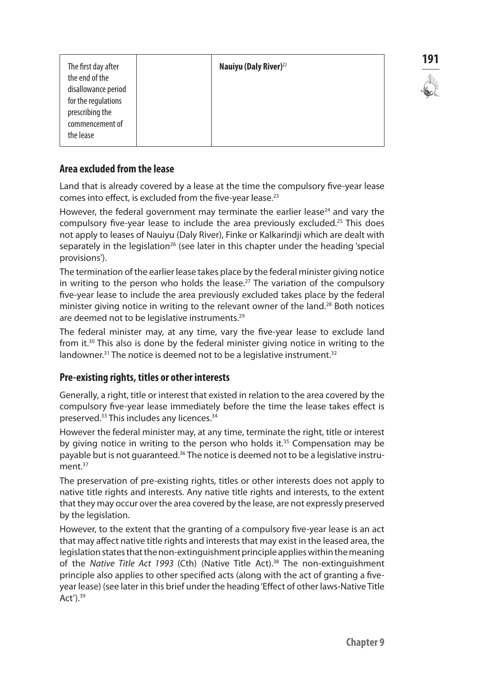|                     |                                   | 191 |
|---------------------|-----------------------------------|-----|
| The first day after | Nauiyu (Daly River) <sup>22</sup> |     |
| the end of the      |                                   |     |
| disallowance period |                                   |     |
| for the regulations |                                   |     |
| prescribing the     |                                   |     |
| commencement of     |                                   |     |
|                     |                                   |     |
| the lease           |                                   |     |
|                     |                                   |     |

# **Area excluded from the lease**

Land that is already covered by a lease at the time the compulsory five-year lease comes into effect, is excluded from the five-year lease.23

However, the federal government may terminate the earlier lease<sup>24</sup> and vary the compulsory five-year lease to include the area previously excluded.<sup>25</sup> This does not apply to leases of Nauiyu (Daly River), Finke or Kalkarindji which are dealt with separately in the legislation<sup>26</sup> (see later in this chapter under the heading 'special provisions').

The termination of the earlier lease takes place by the federal minister giving notice in writing to the person who holds the lease.<sup>27</sup> The variation of the compulsory five-year lease to include the area previously excluded takes place by the federal minister giving notice in writing to the relevant owner of the land.28 Both notices are deemed not to be legislative instruments.<sup>29</sup>

The federal minister may, at any time, vary the five-year lease to exclude land from it.30 This also is done by the federal minister giving notice in writing to the landowner.<sup>31</sup> The notice is deemed not to be a legislative instrument.<sup>32</sup>

## **Pre-existing rights, titles or other interests**

Generally, a right, title or interest that existed in relation to the area covered by the compulsory five-year lease immediately before the time the lease takes effect is preserved.33 This includes any licences.34

However the federal minister may, at any time, terminate the right, title or interest by giving notice in writing to the person who holds it.<sup>35</sup> Compensation may be payable but is not quaranteed.<sup>36</sup> The notice is deemed not to be a legislative instrument.<sup>37</sup>

The preservation of pre-existing rights, titles or other interests does not apply to native title rights and interests. Any native title rights and interests, to the extent that they may occur over the area covered by the lease, are not expressly preserved by the legislation.

However, to the extent that the granting of a compulsory five-year lease is an act that may affect native title rights and interests that may exist in the leased area, the legislation states that the non-extinguishment principle applies within the meaning of the *Native Title Act 1993* (Cth) (Native Title Act).38 The non-extinguishment principle also applies to other specified acts (along with the act of granting a fiveyear lease) (see later in this brief under the heading 'Effect of other laws-Native Title Act').39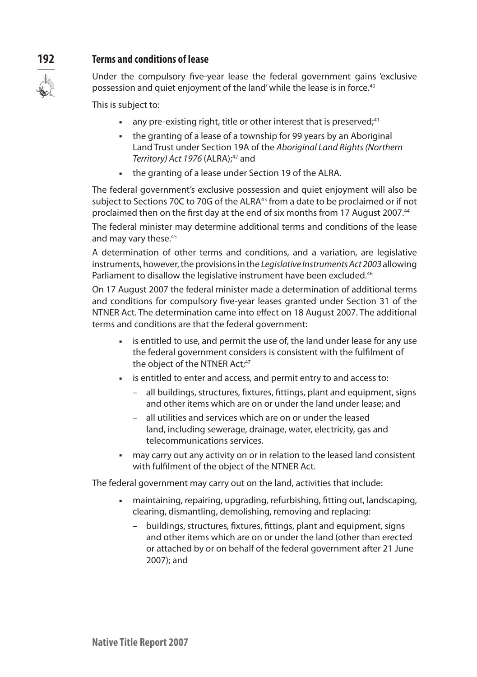# **192 Terms and conditions of lease**

Under the compulsory five-year lease the federal government gains 'exclusive possession and quiet enjoyment of the land' while the lease is in force.<sup>40</sup>

This is subject to:

- any pre-existing right, title or other interest that is preserved;<sup>41</sup>
- n the granting of a lease of a township for 99 years by an Aboriginal Land Trust under Section 19A of the *Aboriginal Land Rights (Northern Territory) Act 1976 (ALRA)*;<sup>42</sup> and
- **the granting of a lease under Section 19 of the ALRA.**

The federal government's exclusive possession and quiet enjoyment will also be subject to Sections 70C to 70G of the ALRA<sup>43</sup> from a date to be proclaimed or if not proclaimed then on the first day at the end of six months from 17 August 2007.44

The federal minister may determine additional terms and conditions of the lease and may vary these.<sup>45</sup>

A determination of other terms and conditions, and a variation, are legislative instruments, however, the provisions in the *Legislative Instruments Act 2003* allowing Parliament to disallow the legislative instrument have been excluded.<sup>46</sup>

On 17 August 2007 the federal minister made a determination of additional terms and conditions for compulsory five-year leases granted under Section 31 of the NTNER Act. The determination came into effect on 18 August 2007. The additional terms and conditions are that the federal government:

- is entitled to use, and permit the use of, the land under lease for any use the federal government considers is consistent with the fulfilment of the object of the NTNER Act;<sup>47</sup>
- is entitled to enter and access, and permit entry to and access to:
	- all buildings, structures, fixtures, fittings, plant and equipment, signs and other items which are on or under the land under lease; and
	- all utilities and services which are on or under the leased land, including sewerage, drainage, water, electricity, gas and telecommunications services.
- n may carry out any activity on or in relation to the leased land consistent with fulfilment of the object of the NTNER Act.

The federal government may carry out on the land, activities that include:

- maintaining, repairing, upgrading, refurbishing, fitting out, landscaping, clearing, dismantling, demolishing, removing and replacing:
	- buildings, structures, fixtures, fittings, plant and equipment, signs and other items which are on or under the land (other than erected or attached by or on behalf of the federal government after 21 June 2007); and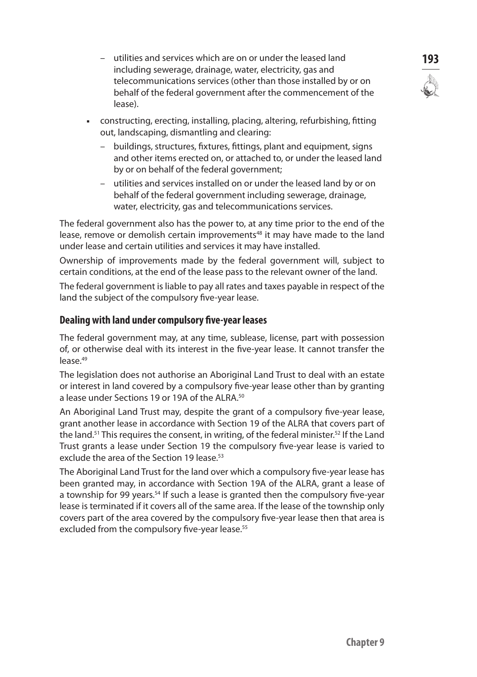- utilities and services which are on or under the leased land **193** including sewerage, drainage, water, electricity, gas and telecommunications services (other than those installed by or on behalf of the federal government after the commencement of the lease).
- n constructing, erecting, installing, placing, altering, refurbishing, fitting out, landscaping, dismantling and clearing:
	- buildings, structures, fixtures, fittings, plant and equipment, signs and other items erected on, or attached to, or under the leased land by or on behalf of the federal government;
	- utilities and services installed on or under the leased land by or on behalf of the federal government including sewerage, drainage, water, electricity, gas and telecommunications services.

The federal government also has the power to, at any time prior to the end of the lease, remove or demolish certain improvements<sup>48</sup> it may have made to the land under lease and certain utilities and services it may have installed.

Ownership of improvements made by the federal government will, subject to certain conditions, at the end of the lease pass to the relevant owner of the land.

The federal government is liable to pay all rates and taxes payable in respect of the land the subject of the compulsory five-year lease.

## **Dealing with land under compulsory five-year leases**

The federal government may, at any time, sublease, license, part with possession of, or otherwise deal with its interest in the five-year lease. It cannot transfer the lease.<sup>49</sup>

The legislation does not authorise an Aboriginal Land Trust to deal with an estate or interest in land covered by a compulsory five-year lease other than by granting a lease under Sections 19 or 19A of the ALRA.<sup>50</sup>

An Aboriginal Land Trust may, despite the grant of a compulsory five-year lease, grant another lease in accordance with Section 19 of the ALRA that covers part of the land.<sup>51</sup> This requires the consent, in writing, of the federal minister.<sup>52</sup> If the Land Trust grants a lease under Section 19 the compulsory five-year lease is varied to exclude the area of the Section 19 lease.<sup>53</sup>

The Aboriginal Land Trust for the land over which a compulsory five-year lease has been granted may, in accordance with Section 19A of the ALRA, grant a lease of a township for 99 years.<sup>54</sup> If such a lease is granted then the compulsory five-year lease is terminated if it covers all of the same area. If the lease of the township only covers part of the area covered by the compulsory five-year lease then that area is excluded from the compulsory five-year lease.<sup>55</sup>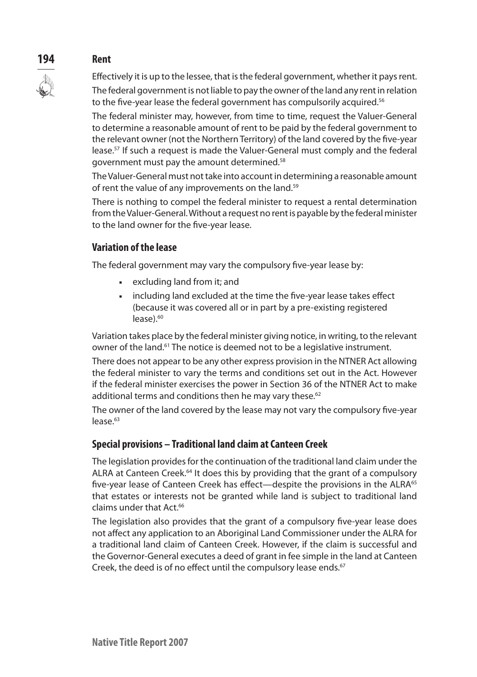# **194 Rent**



Effectively it is up to the lessee, that is the federal government, whether it pays rent.

The federal government is not liable to pay the owner of the land any rent in relation to the five-year lease the federal government has compulsorily acquired.<sup>56</sup>

The federal minister may, however, from time to time, request the Valuer-General to determine a reasonable amount of rent to be paid by the federal government to the relevant owner (not the Northern Territory) of the land covered by the five-year lease.57 If such a request is made the Valuer-General must comply and the federal government must pay the amount determined.58

The Valuer-General must not take into account in determining a reasonable amount of rent the value of any improvements on the land.<sup>59</sup>

There is nothing to compel the federal minister to request a rental determination from the Valuer-General. Without a request no rent is payable by the federal minister to the land owner for the five-year lease.

# **Variation of the lease**

The federal government may vary the compulsory five-year lease by:

- **excluding land from it; and**
- n including land excluded at the time the five-year lease takes effect (because it was covered all or in part by a pre-existing registered  $lease$ ). $60$

Variation takes place by the federal minister giving notice, in writing, to the relevant owner of the land.61 The notice is deemed not to be a legislative instrument.

There does not appear to be any other express provision in the NTNER Act allowing the federal minister to vary the terms and conditions set out in the Act. However if the federal minister exercises the power in Section 36 of the NTNER Act to make additional terms and conditions then he may vary these. $62$ 

The owner of the land covered by the lease may not vary the compulsory five-year lease.<sup>63</sup>

# **Special provisions – Traditional land claim at Canteen Creek**

The legislation provides for the continuation of the traditional land claim under the ALRA at Canteen Creek.<sup>64</sup> It does this by providing that the grant of a compulsory five-year lease of Canteen Creek has effect—despite the provisions in the ALRA<sup>65</sup> that estates or interests not be granted while land is subject to traditional land claims under that Act.66

The legislation also provides that the grant of a compulsory five-year lease does not affect any application to an Aboriginal Land Commissioner under the ALRA for a traditional land claim of Canteen Creek. However, if the claim is successful and the Governor-General executes a deed of grant in fee simple in the land at Canteen Creek, the deed is of no effect until the compulsory lease ends.<sup>67</sup>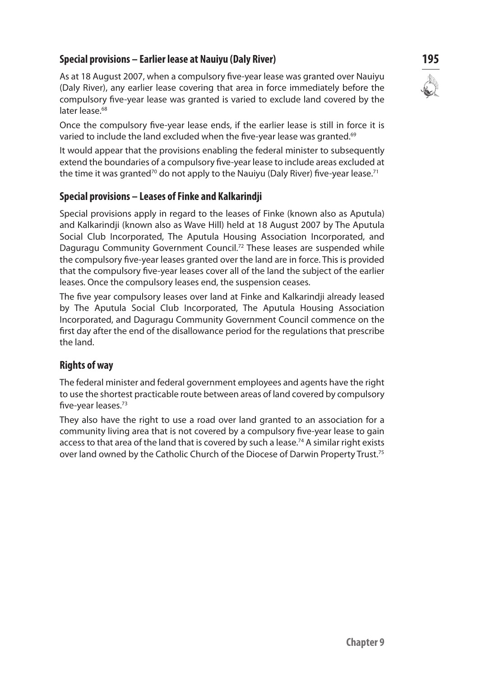# **Special provisions – Earlier lease at Nauiyu (Daly River) 195**

As at 18 August 2007, when a compulsory five-year lease was granted over Nauiyu (Daly River), any earlier lease covering that area in force immediately before the compulsory five-year lease was granted is varied to exclude land covered by the later lease.<sup>68</sup>

Once the compulsory five-year lease ends, if the earlier lease is still in force it is varied to include the land excluded when the five-year lease was granted.<sup>69</sup>

It would appear that the provisions enabling the federal minister to subsequently extend the boundaries of a compulsory five-year lease to include areas excluded at the time it was granted<sup>70</sup> do not apply to the Nauiyu (Daly River) five-year lease.<sup>71</sup>

# **Special provisions – Leases of Finke and Kalkarindji**

Special provisions apply in regard to the leases of Finke (known also as Aputula) and Kalkarindji (known also as Wave Hill) held at 18 August 2007 by The Aputula Social Club Incorporated, The Aputula Housing Association Incorporated, and Daguragu Community Government Council.<sup>72</sup> These leases are suspended while the compulsory five-year leases granted over the land are in force. This is provided that the compulsory five-year leases cover all of the land the subject of the earlier leases. Once the compulsory leases end, the suspension ceases.

The five year compulsory leases over land at Finke and Kalkarindji already leased by The Aputula Social Club Incorporated, The Aputula Housing Association Incorporated, and Daguragu Community Government Council commence on the first day after the end of the disallowance period for the regulations that prescribe the land.

## **Rights of way**

The federal minister and federal government employees and agents have the right to use the shortest practicable route between areas of land covered by compulsory five-year leases.73

They also have the right to use a road over land granted to an association for a community living area that is not covered by a compulsory five-year lease to gain access to that area of the land that is covered by such a lease.<sup>74</sup> A similar right exists over land owned by the Catholic Church of the Diocese of Darwin Property Trust.75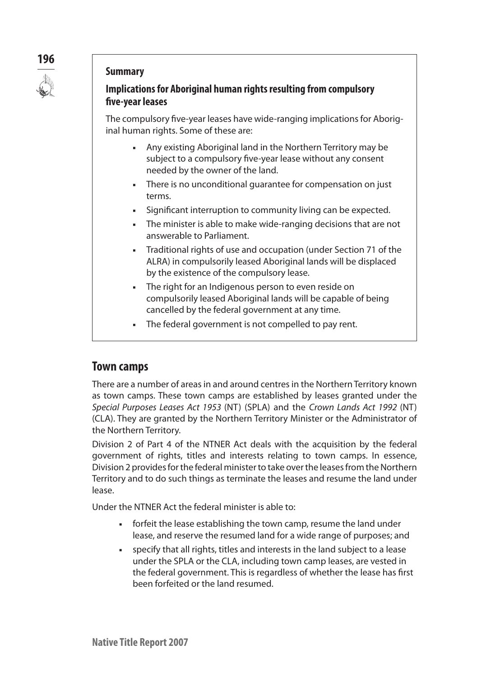

## **Summary**

# **Implications for Aboriginal human rights resulting from compulsory five-year leases**

The compulsory five-year leases have wide-ranging implications for Aboriginal human rights. Some of these are:

- **Any existing Aboriginal land in the Northern Territory may be** subject to a compulsory five-year lease without any consent needed by the owner of the land.
- **Fig.** There is no unconditional quarantee for compensation on just terms.
- **Figure 3** Significant interruption to community living can be expected.
- The minister is able to make wide-ranging decisions that are not answerable to Parliament.
- Traditional rights of use and occupation (under Section 71 of the ALRA) in compulsorily leased Aboriginal lands will be displaced by the existence of the compulsory lease.
- **Fight** for an Indigenous person to even reside on compulsorily leased Aboriginal lands will be capable of being cancelled by the federal government at any time.
- The federal government is not compelled to pay rent.

# **Town camps**

There are a number of areas in and around centres in the Northern Territory known as town camps. These town camps are established by leases granted under the *Special Purposes Leases Act 1953* (NT) (SPLA) and the *Crown Lands Act 1992* (NT) (CLA). They are granted by the Northern Territory Minister or the Administrator of the Northern Territory.

Division 2 of Part 4 of the NTNER Act deals with the acquisition by the federal government of rights, titles and interests relating to town camps. In essence, Division 2 provides for the federal minister to take over the leases from the Northern Territory and to do such things as terminate the leases and resume the land under lease.

Under the NTNER Act the federal minister is able to:

- **Fig.** forfeit the lease establishing the town camp, resume the land under lease, and reserve the resumed land for a wide range of purposes; and
- <sup>n</sup> specify that all rights, titles and interests in the land subject to a lease under the SPLA or the CLA, including town camp leases, are vested in the federal government. This is regardless of whether the lease has first been forfeited or the land resumed.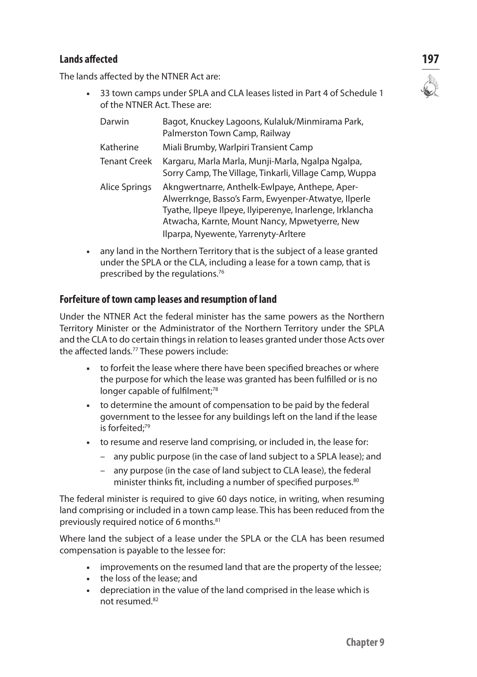# **Lands affected 197**

The lands affected by the NTNER Act are:

33 town camps under SPLA and CLA leases listed in Part 4 of Schedule 1 of the NTNER Act. These are:

| Darwin              | Bagot, Knuckey Lagoons, Kulaluk/Minmirama Park,<br>Palmerston Town Camp, Railway                                                                                                                                                                           |
|---------------------|------------------------------------------------------------------------------------------------------------------------------------------------------------------------------------------------------------------------------------------------------------|
| Katherine           | Miali Brumby, Warlpiri Transient Camp                                                                                                                                                                                                                      |
| <b>Tenant Creek</b> | Kargaru, Marla Marla, Munji-Marla, Ngalpa Ngalpa,<br>Sorry Camp, The Village, Tinkarli, Village Camp, Wuppa                                                                                                                                                |
| Alice Springs       | Akngwertnarre, Anthelk-Ewlpaye, Anthepe, Aper-<br>Alwerrknge, Basso's Farm, Ewyenper-Atwatye, Ilperle<br>Tyathe, Ilpeye Ilpeye, Ilyiperenye, Inarlenge, Irklancha<br>Atwacha, Karnte, Mount Nancy, Mpwetyerre, New<br>Ilparpa, Nyewente, Yarrenyty-Arltere |

n any land in the Northern Territory that is the subject of a lease granted under the SPLA or the CLA, including a lease for a town camp, that is prescribed by the regulations.76

## **Forfeiture of town camp leases and resumption of land**

Under the NTNER Act the federal minister has the same powers as the Northern Territory Minister or the Administrator of the Northern Territory under the SPLA and the CLA to do certain things in relation to leases granted under those Acts over the affected lands.77 These powers include:

- n to forfeit the lease where there have been specified breaches or where the purpose for which the lease was granted has been fulfilled or is no longer capable of fulfilment;<sup>78</sup>
- n to determine the amount of compensation to be paid by the federal government to the lessee for any buildings left on the land if the lease is forfeited;<sup>79</sup>
- n to resume and reserve land comprising, or included in, the lease for:
	- any public purpose (in the case of land subject to a SPLA lease); and
	- any purpose (in the case of land subject to CLA lease), the federal minister thinks fit, including a number of specified purposes.<sup>80</sup>

The federal minister is required to give 60 days notice, in writing, when resuming land comprising or included in a town camp lease. This has been reduced from the previously required notice of 6 months.<sup>81</sup>

Where land the subject of a lease under the SPLA or the CLA has been resumed compensation is payable to the lessee for:

- n improvements on the resumed land that are the property of the lessee;
- $\blacksquare$  the loss of the lease; and
- <sup>n</sup> depreciation in the value of the land comprised in the lease which is not resumed.82

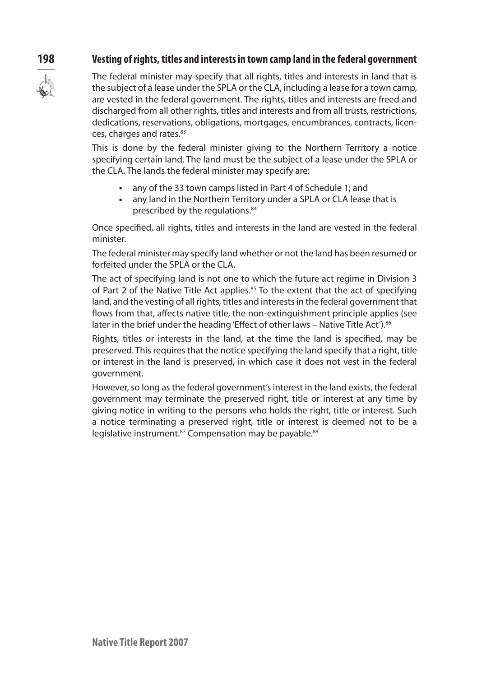## **198 Vesting of rights, titles and interests in town camp land in the federal government**



The federal minister may specify that all rights, titles and interests in land that is the subject of a lease under the SPLA or the CLA, including a lease for a town camp, are vested in the federal government. The rights, titles and interests are freed and discharged from all other rights, titles and interests and from all trusts, restrictions, dedications, reservations, obligations, mortgages, encumbrances, contracts, licences, charges and rates.<sup>83</sup>

This is done by the federal minister giving to the Northern Territory a notice specifying certain land. The land must be the subject of a lease under the SPLA or the CLA. The lands the federal minister may specify are:

- any of the 33 town camps listed in Part 4 of Schedule 1; and
- any land in the Northern Territory under a SPLA or CLA lease that is prescribed by the regulations.84

Once specified, all rights, titles and interests in the land are vested in the federal minister.

The federal minister may specify land whether or not the land has been resumed or forfeited under the SPLA or the CLA.

The act of specifying land is not one to which the future act regime in Division 3 of Part 2 of the Native Title Act applies. $85$  To the extent that the act of specifying land, and the vesting of all rights, titles and interests in the federal government that flows from that, affects native title, the non-extinguishment principle applies (see later in the brief under the heading 'Effect of other laws – Native Title Act').<sup>86</sup>

Rights, titles or interests in the land, at the time the land is specified, may be preserved. This requires that the notice specifying the land specify that a right, title or interest in the land is preserved, in which case it does not vest in the federal government.

However, so long as the federal government's interest in the land exists, the federal government may terminate the preserved right, title or interest at any time by giving notice in writing to the persons who holds the right, title or interest. Such a notice terminating a preserved right, title or interest is deemed not to be a legislative instrument.<sup>87</sup> Compensation may be payable.<sup>88</sup>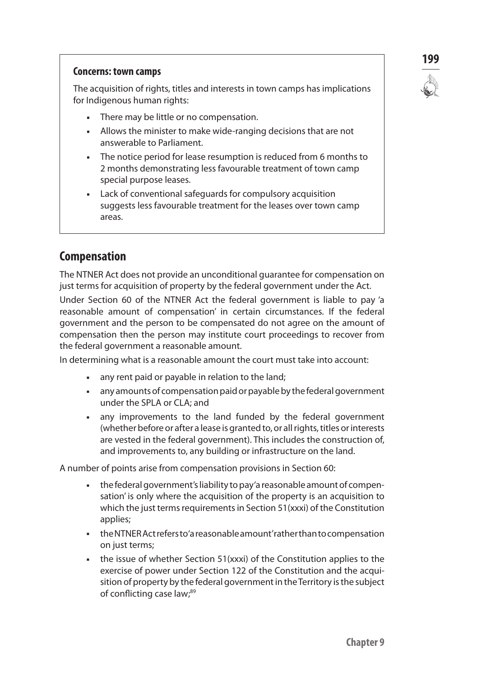

#### **Concerns: town camps**

The acquisition of rights, titles and interests in town camps has implications for Indigenous human rights:

- There may be little or no compensation.
- Allows the minister to make wide-ranging decisions that are not answerable to Parliament.
- The notice period for lease resumption is reduced from 6 months to 2 months demonstrating less favourable treatment of town camp special purpose leases.
- Lack of conventional safeguards for compulsory acquisition suggests less favourable treatment for the leases over town camp areas.

# **Compensation**

The NTNER Act does not provide an unconditional guarantee for compensation on just terms for acquisition of property by the federal government under the Act.

Under Section 60 of the NTNER Act the federal government is liable to pay 'a reasonable amount of compensation' in certain circumstances. If the federal government and the person to be compensated do not agree on the amount of compensation then the person may institute court proceedings to recover from the federal government a reasonable amount.

In determining what is a reasonable amount the court must take into account:

- any rent paid or payable in relation to the land;
- <sup>n</sup> any amounts of compensation paid or payable by the federal government under the SPLA or CLA; and
- n any improvements to the land funded by the federal government (whether before or after a lease is granted to, or all rights, titles or interests are vested in the federal government). This includes the construction of, and improvements to, any building or infrastructure on the land.

A number of points arise from compensation provisions in Section 60:

- <sup>n</sup> the federal government's liability to pay 'a reasonable amount of compensation' is only where the acquisition of the property is an acquisition to which the just terms requirements in Section 51(xxxi) of the Constitution applies;
- n the NTNER Act refers to 'a reasonable amount' rather than to compensation on just terms;
- n the issue of whether Section 51(xxxi) of the Constitution applies to the exercise of power under Section 122 of the Constitution and the acquisition of property by the federal government in the Territory is the subject of conflicting case law;<sup>89</sup>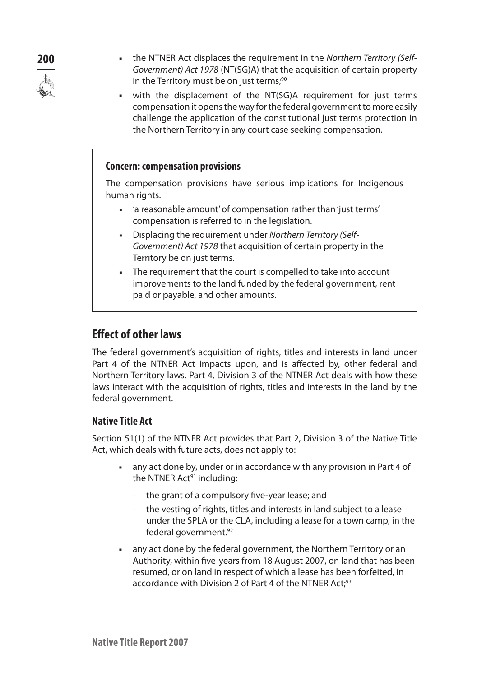- 
- **200 example 1** the NTNER Act displaces the requirement in the *Northern Territory (Self-Government) Act 1978* (NT(SG)A) that the acquisition of certain property in the Territory must be on just terms;<sup>90</sup>
	- with the displacement of the NT(SG)A requirement for just terms compensation it opens the way for the federal government to more easily challenge the application of the constitutional just terms protection in the Northern Territory in any court case seeking compensation.

#### **Concern: compensation provisions**

The compensation provisions have serious implications for Indigenous human rights.

- a reasonable amount' of compensation rather than 'just terms' compensation is referred to in the legislation.
- **EXECT:** Displacing the requirement under *Northern Territory (Self-Government) Act 1978* that acquisition of certain property in the Territory be on just terms.
- The requirement that the court is compelled to take into account improvements to the land funded by the federal government, rent paid or payable, and other amounts.

# **Effect of other laws**

The federal government's acquisition of rights, titles and interests in land under Part 4 of the NTNER Act impacts upon, and is affected by, other federal and Northern Territory laws. Part 4, Division 3 of the NTNER Act deals with how these laws interact with the acquisition of rights, titles and interests in the land by the federal government.

# **Native Title Act**

Section 51(1) of the NTNER Act provides that Part 2, Division 3 of the Native Title Act, which deals with future acts, does not apply to:

- any act done by, under or in accordance with any provision in Part 4 of the NTNER Act<sup>91</sup> including:
	- the grant of a compulsory five-year lease; and
	- the vesting of rights, titles and interests in land subject to a lease under the SPLA or the CLA, including a lease for a town camp, in the federal government.<sup>92</sup>
- any act done by the federal government, the Northern Territory or an Authority, within five-years from 18 August 2007, on land that has been resumed, or on land in respect of which a lease has been forfeited, in accordance with Division 2 of Part 4 of the NTNER Act:<sup>93</sup>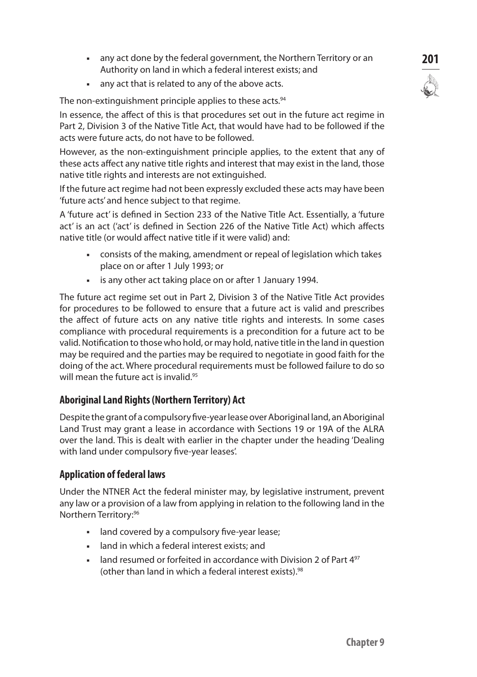- **201** any act done by the federal government, the Northern Territory or an **201** Authority on land in which a federal interest exists; and
- n any act that is related to any of the above acts.

The non-extinguishment principle applies to these acts.<sup>94</sup>

In essence, the affect of this is that procedures set out in the future act regime in Part 2, Division 3 of the Native Title Act, that would have had to be followed if the acts were future acts, do not have to be followed.

However, as the non-extinguishment principle applies, to the extent that any of these acts affect any native title rights and interest that may exist in the land, those native title rights and interests are not extinguished.

If the future act regime had not been expressly excluded these acts may have been 'future acts' and hence subject to that regime.

A 'future act' is defined in Section 233 of the Native Title Act. Essentially, a 'future act' is an act ('act' is defined in Section 226 of the Native Title Act) which affects native title (or would affect native title if it were valid) and:

- <sup>n</sup> consists of the making, amendment or repeal of legislation which takes place on or after 1 July 1993; or
- **EXED is any other act taking place on or after 1 January 1994.**

The future act regime set out in Part 2, Division 3 of the Native Title Act provides for procedures to be followed to ensure that a future act is valid and prescribes the affect of future acts on any native title rights and interests. In some cases compliance with procedural requirements is a precondition for a future act to be valid. Notification to those who hold, or may hold, native title in the land in question may be required and the parties may be required to negotiate in good faith for the doing of the act. Where procedural requirements must be followed failure to do so will mean the future act is invalid.<sup>95</sup>

## **Aboriginal Land Rights (Northern Territory) Act**

Despite the grant of a compulsory five-year lease over Aboriginal land, an Aboriginal Land Trust may grant a lease in accordance with Sections 19 or 19A of the ALRA over the land. This is dealt with earlier in the chapter under the heading 'Dealing with land under compulsory five-year leases'.

## **Application of federal laws**

Under the NTNER Act the federal minister may, by legislative instrument, prevent any law or a provision of a law from applying in relation to the following land in the Northern Territory:96

- and covered by a compulsory five-year lease;
- n land in which a federal interest exists; and
- land resumed or forfeited in accordance with Division 2 of Part 4<sup>97</sup> (other than land in which a federal interest exists).<sup>98</sup>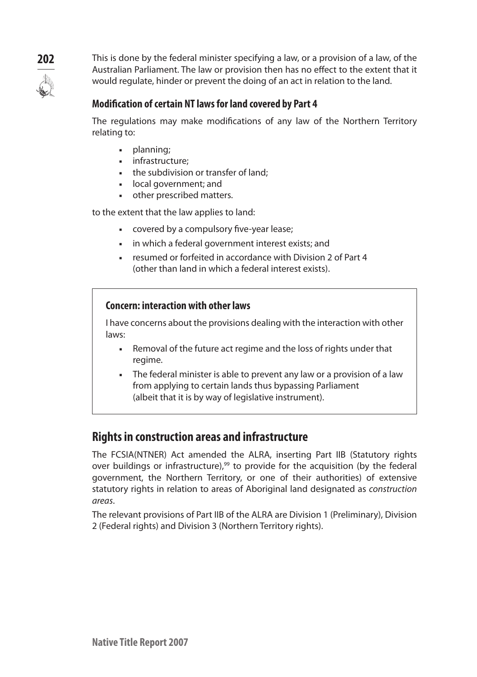

**202** This is done by the federal minister specifying a law, or a provision of a law, of the Australian Parliament. The law or provision then has no effect to the extent that it would regulate, hinder or prevent the doing of an act in relation to the land.

## **Modification of certain NT laws for land covered by Part 4**

The regulations may make modifications of any law of the Northern Territory relating to:

- $\nu$  planning;
- infrastructure:
- the subdivision or transfer of land:
- local government; and
- other prescribed matters.

to the extent that the law applies to land:

- **Exercise covered by a compulsory five-year lease;**
- n in which a federal government interest exists; and
- <sup>n</sup> resumed or forfeited in accordance with Division 2 of Part 4 (other than land in which a federal interest exists).

#### **Concern: interaction with other laws**

I have concerns about the provisions dealing with the interaction with other laws:

- **Removal of the future act regime and the loss of rights under that** regime.
- The federal minister is able to prevent any law or a provision of a law from applying to certain lands thus bypassing Parliament (albeit that it is by way of legislative instrument).

# **Rights in construction areas and infrastructure**

The FCSIA(NTNER) Act amended the ALRA, inserting Part IIB (Statutory rights over buildings or infrastructure),<sup>99</sup> to provide for the acquisition (by the federal government, the Northern Territory, or one of their authorities) of extensive statutory rights in relation to areas of Aboriginal land designated as *construction areas*.

The relevant provisions of Part IIB of the ALRA are Division 1 (Preliminary), Division 2 (Federal rights) and Division 3 (Northern Territory rights).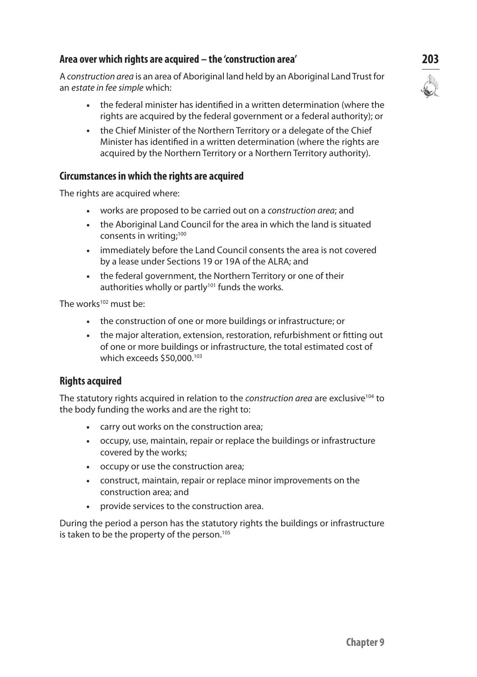## **Area over which rights are acquired – the 'construction area' 203**

A *construction area* is an area of Aboriginal land held by an Aboriginal Land Trust for an *estate in fee simple* which:

- n the federal minister has identified in a written determination (where the rights are acquired by the federal government or a federal authority); or
- **n** the Chief Minister of the Northern Territory or a delegate of the Chief Minister has identified in a written determination (where the rights are acquired by the Northern Territory or a Northern Territory authority).

## **Circumstances in which the rights are acquired**

The rights are acquired where:

- **n** works are proposed to be carried out on a *construction area*; and
- n the Aboriginal Land Council for the area in which the land is situated consents in writing;<sup>100</sup>
- n immediately before the Land Council consents the area is not covered by a lease under Sections 19 or 19A of the ALRA; and
- n the federal government, the Northern Territory or one of their authorities wholly or partly<sup>101</sup> funds the works.

The works $102$  must be:

- **n** the construction of one or more buildings or infrastructure; or
- n the major alteration, extension, restoration, refurbishment or fitting out of one or more buildings or infrastructure, the total estimated cost of which exceeds \$50,000.103

## **Rights acquired**

The statutory rights acquired in relation to the *construction area* are exclusive<sup>104</sup> to the body funding the works and are the right to:

- n carry out works on the construction area;
- <sup>n</sup> occupy, use, maintain, repair or replace the buildings or infrastructure covered by the works;
- occupy or use the construction area;
- **EXEC** construct, maintain, repair or replace minor improvements on the construction area; and
- n provide services to the construction area.

During the period a person has the statutory rights the buildings or infrastructure is taken to be the property of the person.<sup>105</sup>

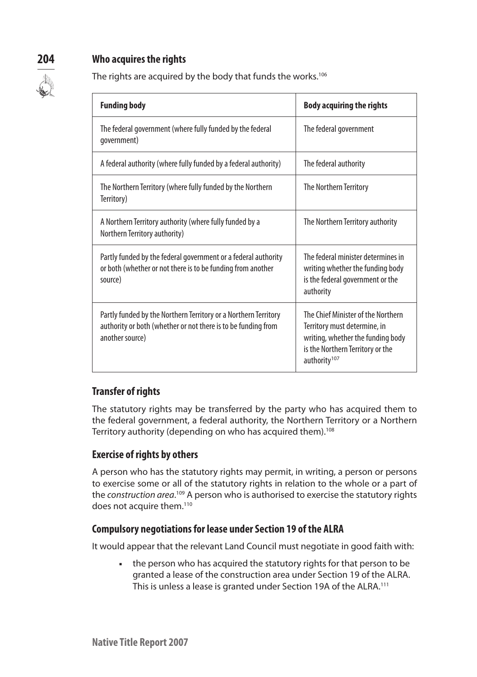# **204 Who acquires the rights**



The rights are acquired by the body that funds the works.<sup>106</sup>

| <b>Funding body</b>                                                                                                                                 | <b>Body acquiring the rights</b>                                                                                                                                        |
|-----------------------------------------------------------------------------------------------------------------------------------------------------|-------------------------------------------------------------------------------------------------------------------------------------------------------------------------|
| The federal government (where fully funded by the federal<br>qovernment)                                                                            | The federal government                                                                                                                                                  |
| A federal authority (where fully funded by a federal authority)                                                                                     | The federal authority                                                                                                                                                   |
| The Northern Territory (where fully funded by the Northern<br>Territory)                                                                            | The Northern Territory                                                                                                                                                  |
| A Northern Territory authority (where fully funded by a<br>Northern Territory authority)                                                            | The Northern Territory authority                                                                                                                                        |
| Partly funded by the federal government or a federal authority<br>or both (whether or not there is to be funding from another<br>source)            | The federal minister determines in<br>writing whether the funding body<br>is the federal government or the<br>authority                                                 |
| Partly funded by the Northern Territory or a Northern Territory<br>authority or both (whether or not there is to be funding from<br>another source) | The Chief Minister of the Northern<br>Territory must determine, in<br>writing, whether the funding body<br>is the Northern Territory or the<br>authority <sup>107</sup> |

# **Transfer of rights**

The statutory rights may be transferred by the party who has acquired them to the federal government, a federal authority, the Northern Territory or a Northern Territory authority (depending on who has acquired them).<sup>108</sup>

# **Exercise of rights by others**

A person who has the statutory rights may permit, in writing, a person or persons to exercise some or all of the statutory rights in relation to the whole or a part of the *construction area*. 109 A person who is authorised to exercise the statutory rights does not acquire them.<sup>110</sup>

# **Compulsory negotiations for lease under Section 19 of the ALRA**

It would appear that the relevant Land Council must negotiate in good faith with:

• the person who has acquired the statutory rights for that person to be granted a lease of the construction area under Section 19 of the ALRA. This is unless a lease is granted under Section 19A of the ALRA.<sup>111</sup>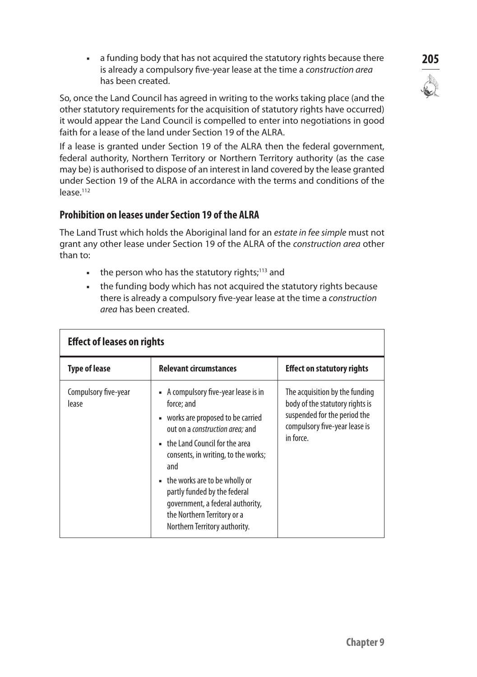**205** a funding body that has not acquired the statutory rights because there **205** is already a compulsory five-year lease at the time a *construction area* has been created.

So, once the Land Council has agreed in writing to the works taking place (and the other statutory requirements for the acquisition of statutory rights have occurred) it would appear the Land Council is compelled to enter into negotiations in good faith for a lease of the land under Section 19 of the ALRA.

If a lease is granted under Section 19 of the ALRA then the federal government, federal authority, Northern Territory or Northern Territory authority (as the case may be) is authorised to dispose of an interest in land covered by the lease granted under Section 19 of the ALRA in accordance with the terms and conditions of the lease.112

# **Prohibition on leases under Section 19 of the ALRA**

The Land Trust which holds the Aboriginal land for an *estate in fee simple* must not grant any other lease under Section 19 of the ALRA of the *construction area* other than to:

- $\blacksquare$  the person who has the statutory rights;<sup>113</sup> and
- n the funding body which has not acquired the statutory rights because there is already a compulsory five-year lease at the time a *construction area* has been created.

| <b>Effect of leases on rights</b> |                                                                                                                                                                                                                                                                                                                                                                                                          |                                                                                                                                                 |  |
|-----------------------------------|----------------------------------------------------------------------------------------------------------------------------------------------------------------------------------------------------------------------------------------------------------------------------------------------------------------------------------------------------------------------------------------------------------|-------------------------------------------------------------------------------------------------------------------------------------------------|--|
| <b>Type of lease</b>              | <b>Relevant circumstances</b>                                                                                                                                                                                                                                                                                                                                                                            | <b>Effect on statutory rights</b>                                                                                                               |  |
| Compulsory five-year<br>lease     | • A compulsory five-year lease is in<br>force: and<br>• works are proposed to be carried<br>out on a <i>construction area</i> ; and<br>$\blacksquare$ the Land Council for the area<br>consents, in writing, to the works;<br>and<br>• the works are to be wholly or<br>partly funded by the federal<br>government, a federal authority,<br>the Northern Territory or a<br>Northern Territory authority. | The acquisition by the funding<br>body of the statutory rights is<br>suspended for the period the<br>compulsory five-year lease is<br>in force. |  |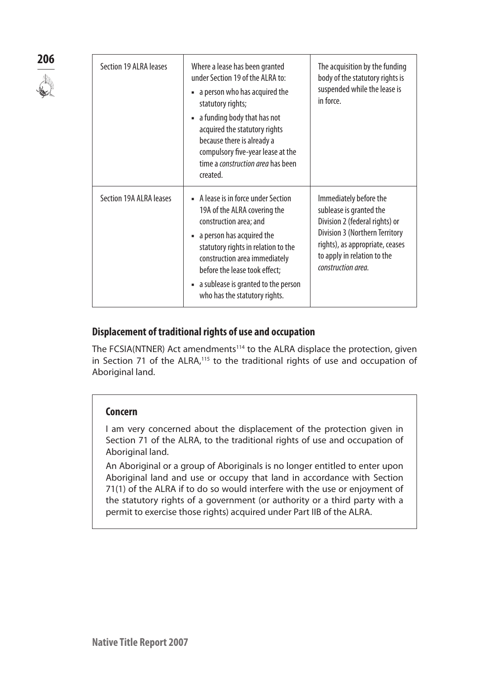| 206 | Section 19 ALRA leases  | Where a lease has been granted<br>under Section 19 of the ALRA to:<br>• a person who has acquired the<br>statutory rights;<br>• a funding body that has not<br>acquired the statutory rights<br>because there is already a<br>compulsory five-year lease at the<br>time a <i>construction area</i> has been<br>created. | The acquisition by the funding<br>body of the statutory rights is<br>suspended while the lease is<br>in force.                                                                                                       |
|-----|-------------------------|-------------------------------------------------------------------------------------------------------------------------------------------------------------------------------------------------------------------------------------------------------------------------------------------------------------------------|----------------------------------------------------------------------------------------------------------------------------------------------------------------------------------------------------------------------|
|     | Section 19A ALRA leases | • A lease is in force under Section<br>19A of the ALRA covering the<br>construction area; and<br>• a person has acquired the<br>statutory rights in relation to the<br>construction area immediately<br>before the lease took effect;<br>• a sublease is granted to the person<br>who has the statutory rights.         | Immediately before the<br>sublease is granted the<br>Division 2 (federal rights) or<br><b>Division 3 (Northern Territory</b><br>rights), as appropriate, ceases<br>to apply in relation to the<br>construction area. |

## **Displacement of traditional rights of use and occupation**

The FCSIA(NTNER) Act amendments<sup>114</sup> to the ALRA displace the protection, given in Section 71 of the ALRA,<sup>115</sup> to the traditional rights of use and occupation of Aboriginal land.

## **Concern**

I am very concerned about the displacement of the protection given in Section 71 of the ALRA, to the traditional rights of use and occupation of Aboriginal land.

An Aboriginal or a group of Aboriginals is no longer entitled to enter upon Aboriginal land and use or occupy that land in accordance with Section 71(1) of the ALRA if to do so would interfere with the use or enjoyment of the statutory rights of a government (or authority or a third party with a permit to exercise those rights) acquired under Part IIB of the ALRA.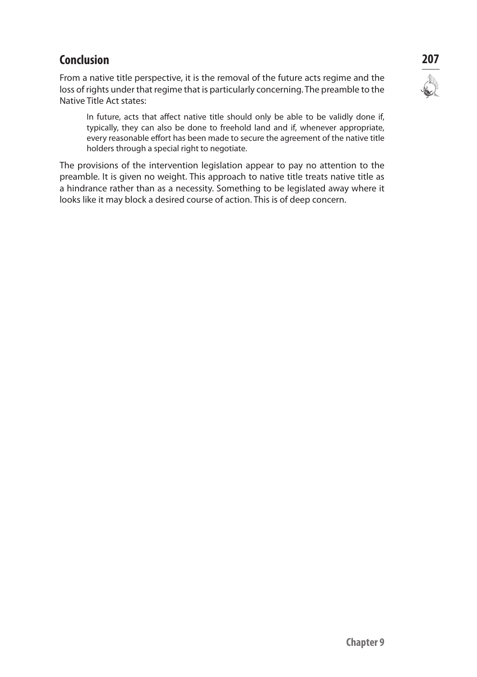# **Conclusion 207**

From a native title perspective, it is the removal of the future acts regime and the loss of rights under that regime that is particularly concerning. The preamble to the Native Title Act states:

In future, acts that affect native title should only be able to be validly done if, typically, they can also be done to freehold land and if, whenever appropriate, every reasonable effort has been made to secure the agreement of the native title holders through a special right to negotiate.

The provisions of the intervention legislation appear to pay no attention to the preamble. It is given no weight. This approach to native title treats native title as a hindrance rather than as a necessity. Something to be legislated away where it looks like it may block a desired course of action. This is of deep concern.

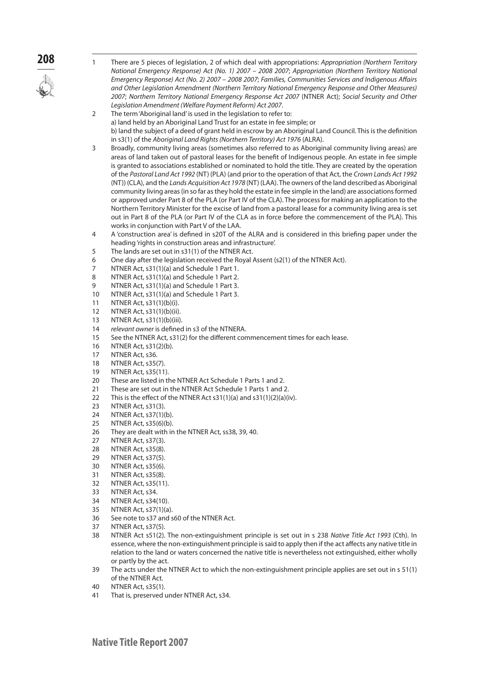

- **208** <sup>1</sup> There are 5 pieces of legislation, 2 of which deal with appropriations: *Appropriation (Northern Territory National Emergency Response) Act (No. 1) 2007 – 2008 2007*; *Appropriation (Northern Territory National Emergency Response) Act (No. 2) 2007 – 2008 2007*; *Families, Communities Services and Indigenous Affairs and Other Legislation Amendment (Northern Territory National Emergency Response and Other Measures) 2007*; *Northern Territory National Emergency Response Act 2007* (NTNER Act); *Social Security and Other Legislation Amendment (Welfare Payment Reform) Act 2007*.
	- 2 The term 'Aboriginal land' is used in the legislation to refer to: a) land held by an Aboriginal Land Trust for an estate in fee simple; or b) land the subject of a deed of grant held in escrow by an Aboriginal Land Council. This is the definition in s3(1) of the *Aboriginal Land Rights (Northern Territory) Act 1976* (ALRA).
	- 3 Broadly, community living areas (sometimes also referred to as Aboriginal community living areas) are areas of land taken out of pastoral leases for the benefit of Indigenous people. An estate in fee simple is granted to associations established or nominated to hold the title. They are created by the operation of the *Pastoral Land Act 1992* (NT) (PLA) (and prior to the operation of that Act, the *Crown Lands Act 1992*  (NT)) (CLA), and the *Lands Acquisition Act 1978* (NT) (LAA). The owners of the land described as Aboriginal community living areas (in so far as they hold the estate in fee simple in the land) are associations formed or approved under Part 8 of the PLA (or Part IV of the CLA). The process for making an application to the Northern Territory Minister for the excise of land from a pastoral lease for a community living area is set out in Part 8 of the PLA (or Part IV of the CLA as in force before the commencement of the PLA). This works in conjunction with Part V of the LAA.
	- 4 A 'construction area' is defined in s20T of the ALRA and is considered in this briefing paper under the heading 'rights in construction areas and infrastructure'.
	- 5 The lands are set out in s31(1) of the NTNER Act.
	- 6 One day after the legislation received the Royal Assent (s2(1) of the NTNER Act).
	- 7 NTNER Act, s31(1)(a) and Schedule 1 Part 1.
	- 8 NTNER Act, s31(1)(a) and Schedule 1 Part 2.
	- 9 NTNER Act, s31(1)(a) and Schedule 1 Part 3.
	- 10 NTNER Act, s31(1)(a) and Schedule 1 Part 3.
	- 11 NTNER Act, s31(1)(b)(i).
	- 12 NTNER Act, s31(1)(b)(ii).
	- 13 NTNER Act, s31(1)(b)(iii).
	- 14 *relevant owner* is defined in s3 of the NTNERA.
	- 15 See the NTNER Act, s31(2) for the different commencement times for each lease.
	- 16 NTNER Act, s31(2)(b).
	- 17 NTNER Act, s36.
	- 18 NTNER Act, s35(7).
	- 19 NTNER Act, s35(11).
	- 20 These are listed in the NTNER Act Schedule 1 Parts 1 and 2.
	- 21 These are set out in the NTNER Act Schedule 1 Parts 1 and 2.
	- 22 This is the effect of the NTNER Act s31(1)(a) and s31(1)(2)(a)(iv).
	- 23 NTNER Act, s31(3).
	- 24 NTNER Act, s37(1)(b).
	- 25 NTNER Act, s35(6)(b).<br>26 They are dealt with in
	- They are dealt with in the NTNER Act, ss38, 39, 40.
	- 27 NTNER Act, s37(3).
	- 28 NTNER Act, s35(8).
	- 29 NTNER Act, s37(5).
	- 30 NTNER Act, s35(6).
	- 31 NTNER Act, s35(8).
	- 32 NTNER Act, s35(11).
	- 33 NTNER Act, s34.
	- 34 NTNER Act, s34(10).
	- 35 NTNER Act, s37(1)(a).
	- 36 See note to s37 and s60 of the NTNER Act.
	- 37 NTNER Act, s37(5).
	- 38 NTNER Act s51(2). The non-extinguishment principle is set out in s 238 *Native Title Act 1993* (Cth). In essence, where the non-extinguishment principle is said to apply then if the act affects any native title in relation to the land or waters concerned the native title is nevertheless not extinguished, either wholly or partly by the act.
	- 39 The acts under the NTNER Act to which the non-extinguishment principle applies are set out in s 51(1) of the NTNER Act.
	- 40 NTNER Act, s35(1).
	- 41 That is, preserved under NTNER Act, s34.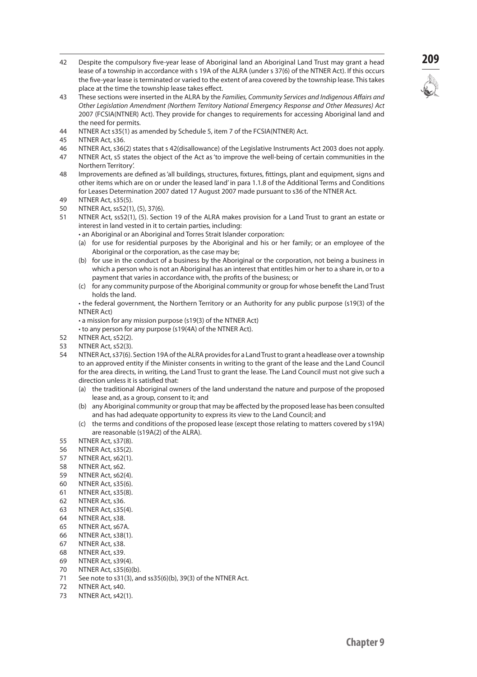- <sup>42</sup> Despite the compulsory five-year lease of Aboriginal land an Aboriginal Land Trust may grant a head **209** lease of a township in accordance with s 19A of the ALRA (under s 37(6) of the NTNER Act). If this occurs the five-year lease is terminated or varied to the extent of area covered by the township lease. This takes place at the time the township lease takes effect.
- 43 These sections were inserted in the ALRA by the *Families, Community Services and Indigenous Affairs and Other Legislation Amendment (Northern Territory National Emergency Response and Other Measures) Act*  2007 (FCSIA(NTNER) Act). They provide for changes to requirements for accessing Aboriginal land and the need for permits.
- 44 NTNER Act s35(1) as amended by Schedule 5, item 7 of the FCSIA(NTNER) Act.
- 45 NTNER Act, s36.
- 46 NTNER Act, s36(2) states that s 42(disallowance) of the Legislative Instruments Act 2003 does not apply.
- 47 NTNER Act, s5 states the object of the Act as 'to improve the well-being of certain communities in the Northern Territory'.
- 48 Improvements are defined as 'all buildings, structures, fixtures, fittings, plant and equipment, signs and other items which are on or under the leased land' in para 1.1.8 of the Additional Terms and Conditions for Leases Determination 2007 dated 17 August 2007 made pursuant to s36 of the NTNER Act.
- 49 NTNER Act, s35(5).
- 50 NTNER Act, ss52(1), (5), 37(6).
- 51 NTNER Act, ss52(1), (5). Section 19 of the ALRA makes provision for a Land Trust to grant an estate or interest in land vested in it to certain parties, including:
	- an Aboriginal or an Aboriginal and Torres Strait Islander corporation:
		- (a) for use for residential purposes by the Aboriginal and his or her family; or an employee of the Aboriginal or the corporation, as the case may be;
		- (b) for use in the conduct of a business by the Aboriginal or the corporation, not being a business in which a person who is not an Aboriginal has an interest that entitles him or her to a share in, or to a payment that varies in accordance with, the profits of the business; or
		- (c) for any community purpose of the Aboriginal community or group for whose benefit the Land Trust holds the land.

 • the federal government, the Northern Territory or an Authority for any public purpose (s19(3) of the NTNER Act)

 • a mission for any mission purpose (s19(3) of the NTNER Act)

 • to any person for any purpose (s19(4A) of the NTNER Act).

- 52 NTNER Act, s52(2).<br>53 NTNER Act, s52(3).
- **NTNER Act, s52(3).**
- 54 NTNER Act, s37(6). Section 19A of the ALRA provides for a Land Trust to grant a headlease over a township to an approved entity if the Minister consents in writing to the grant of the lease and the Land Council for the area directs, in writing, the Land Trust to grant the lease. The Land Council must not give such a direction unless it is satisfied that:
	- (a) the traditional Aboriginal owners of the land understand the nature and purpose of the proposed lease and, as a group, consent to it; and
	- (b) any Aboriginal community or group that may be affected by the proposed lease has been consulted and has had adequate opportunity to express its view to the Land Council; and
	- (c) the terms and conditions of the proposed lease (except those relating to matters covered by s19A) are reasonable (s19A(2) of the ALRA).
- 55 NTNER Act, s37(8).
- 56 NTNER Act, s35(2).
- 57 NTNER Act, s62(1).
- 58 NTNER Act, s62.
- 59 NTNER Act, s62(4).
- 60 NTNER Act, s35(6).
- 61 NTNER Act, s35(8).
- 62 NTNER Act, s36.
- 63 NTNER Act, s35(4).
- 64 NTNER Act, s38.
- 65 NTNER Act, s67A.
- 66 NTNER Act, s38(1).
- 67 NTNER Act, s38.
- 68 NTNER Act, s39.
- 69 NTNER Act, s39(4).
- 70 NTNER Act, s35(6)(b).
- 71 See note to s31(3), and ss35(6)(b), 39(3) of the NTNER Act.
- 72 NTNER Act, s40.
- 73 NTNER Act, s42(1).

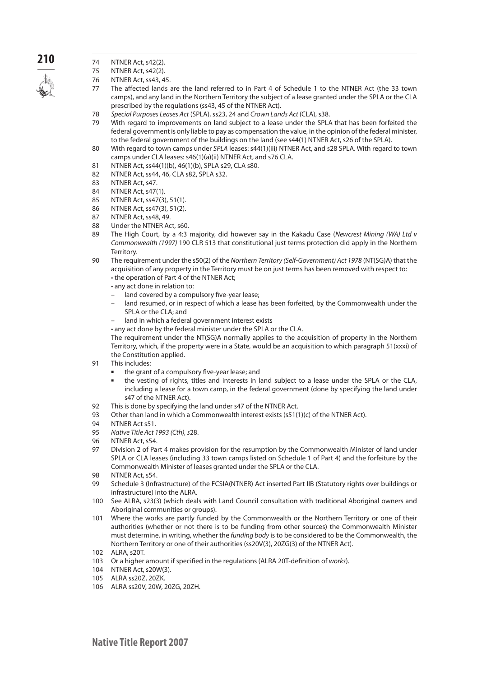

- **210** 74 NTNER Act, s42(2).
	- 75 NTNER Act, s42(2).
	- 76 NTNER Act, ss43, 45.<br>77 The affected lands
	- The affected lands are the land referred to in Part 4 of Schedule 1 to the NTNER Act (the 33 town camps), and any land in the Northern Territory the subject of a lease granted under the SPLA or the CLA prescribed by the regulations (ss43, 45 of the NTNER Act).
	- 78 *Special Purposes Leases Act* (SPLA), ss23, 24 and *Crown Lands Act* (CLA), s38.
	- With regard to improvements on land subject to a lease under the SPLA that has been forfeited the federal government is only liable to pay as compensation the value, in the opinion of the federal minister, to the federal government of the buildings on the land (see s44(1) NTNER Act, s26 of the SPLA).
	- 80 With regard to town camps under *SPLA* leases: s44(1)(iii) NTNER Act, and s28 SPLA. With regard to town camps under CLA leases: s46(1)(a)(ii) NTNER Act, and s76 CLA.
	- 81 NTNER Act, ss44(1)(b), 46(1)(b), SPLA s29, CLA s80.
	- 82 NTNER Act, ss44, 46, CLA s82, SPLA s32.
	- 83 NTNER Act, s47.
	- 84 NTNER Act, s47(1).
	- 85 NTNER Act, ss47(3), 51(1).
	- 86 NTNER Act, ss47(3), 51(2).
	- 87 NTNER Act, ss48, 49.
	- 88 Under the NTNER Act, s60.
	- 89 The High Court, by a 4:3 majority, did however say in the Kakadu Case (*Newcrest Mining (WA) Ltd v Commonwealth (1997)* 190 CLR 513 that constitutional just terms protection did apply in the Northern Territory.
	- 90 The requirement under the s50(2) of the *Northern Territory (Self-Government) Act 1978* (NT(SG)A) that the acquisition of any property in the Territory must be on just terms has been removed with respect to: • the operation of Part 4 of the NTNER Act;
		- any act done in relation to:
		- land covered by a compulsory five-year lease;
		- land resumed, or in respect of which a lease has been forfeited, by the Commonwealth under the SPLA or the CLA; and
		- land in which a federal government interest exists
		- any act done by the federal minister under the SPLA or the CLA.

The requirement under the NT(SG)A normally applies to the acquisition of property in the Northern Territory, which, if the property were in a State, would be an acquisition to which paragraph 51(xxxi) of the Constitution applied.

- 91 This includes:
	- the grant of a compulsory five-year lease; and
	- n the vesting of rights, titles and interests in land subject to a lease under the SPLA or the CLA, including a lease for a town camp, in the federal government (done by specifying the land under s47 of the NTNER Act).
- 92 This is done by specifying the land under s47 of the NTNER Act.
- 93 Other than land in which a Commonwealth interest exists (s51(1)(c) of the NTNER Act).
- 94 NTNER Act s51.
- 95 *Native Title Act 1993 (Cth), s*28.
- 96 NTNER Act, s54.
- 97 Division 2 of Part 4 makes provision for the resumption by the Commonwealth Minister of land under SPLA or CLA leases (including 33 town camps listed on Schedule 1 of Part 4) and the forfeiture by the Commonwealth Minister of leases granted under the SPLA or the CLA.
- 98 NTNER Act, s54.
- 99 Schedule 3 (Infrastructure) of the FCSIA(NTNER) Act inserted Part IIB (Statutory rights over buildings or infrastructure) into the ALRA.
- 100 See ALRA, s23(3) (which deals with Land Council consultation with traditional Aboriginal owners and Aboriginal communities or groups).
- 101 Where the works are partly funded by the Commonwealth or the Northern Territory or one of their authorities (whether or not there is to be funding from other sources) the Commonwealth Minister must determine, in writing, whether the *funding body* is to be considered to be the Commonwealth, the Northern Territory or one of their authorities (ss20V(3), 20ZG(3) of the NTNER Act).
- 102 ALRA, s20T.
- 103 Or a higher amount if specified in the regulations (ALRA 20T-definition of *works*).
- 104 NTNER Act, s20W(3).
- 105 ALRA ss20Z, 20ZK.
- 106 ALRA ss20V, 20W, 20ZG, 20ZH.